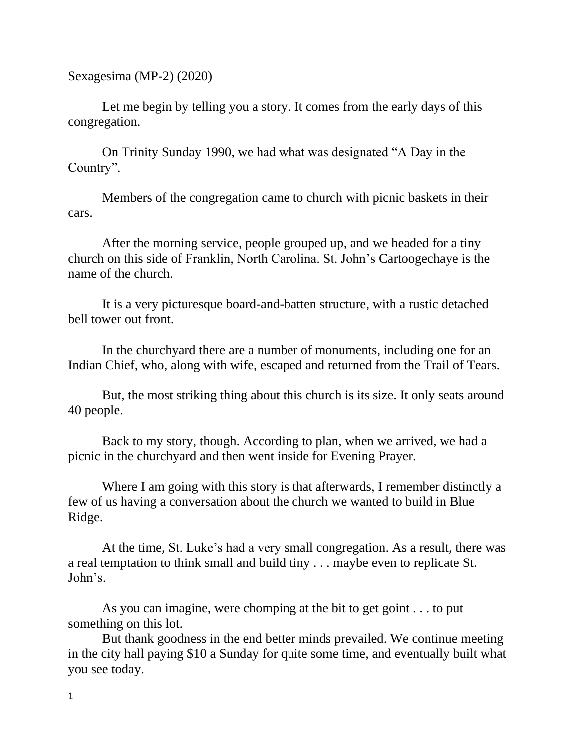Sexagesima (MP-2) (2020)

Let me begin by telling you a story. It comes from the early days of this congregation.

On Trinity Sunday 1990, we had what was designated "A Day in the Country".

Members of the congregation came to church with picnic baskets in their cars.

After the morning service, people grouped up, and we headed for a tiny church on this side of Franklin, North Carolina. St. John's Cartoogechaye is the name of the church.

It is a very picturesque board-and-batten structure, with a rustic detached bell tower out front.

In the churchyard there are a number of monuments, including one for an Indian Chief, who, along with wife, escaped and returned from the Trail of Tears.

But, the most striking thing about this church is its size. It only seats around 40 people.

Back to my story, though. According to plan, when we arrived, we had a picnic in the churchyard and then went inside for Evening Prayer.

Where I am going with this story is that afterwards, I remember distinctly a few of us having a conversation about the church we wanted to build in Blue Ridge.

At the time, St. Luke's had a very small congregation. As a result, there was a real temptation to think small and build tiny . . . maybe even to replicate St. John's.

As you can imagine, were chomping at the bit to get goint . . . to put something on this lot.

But thank goodness in the end better minds prevailed. We continue meeting in the city hall paying \$10 a Sunday for quite some time, and eventually built what you see today.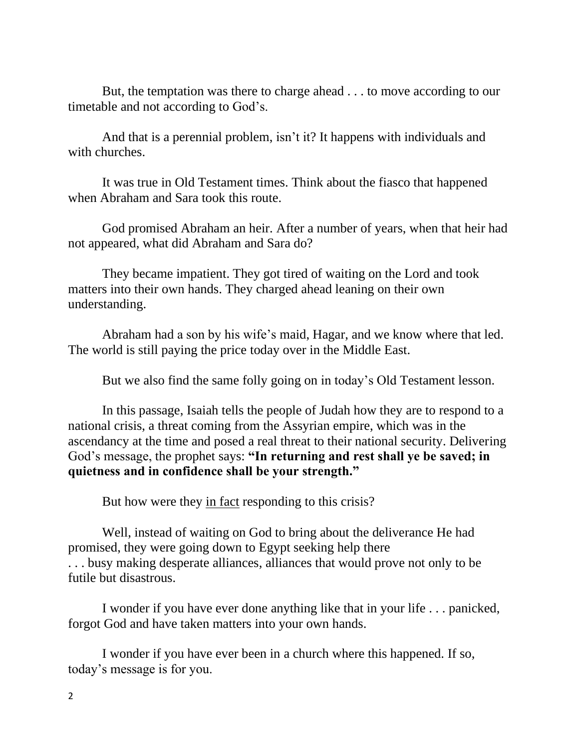But, the temptation was there to charge ahead . . . to move according to our timetable and not according to God's.

And that is a perennial problem, isn't it? It happens with individuals and with churches.

It was true in Old Testament times. Think about the fiasco that happened when Abraham and Sara took this route.

God promised Abraham an heir. After a number of years, when that heir had not appeared, what did Abraham and Sara do?

They became impatient. They got tired of waiting on the Lord and took matters into their own hands. They charged ahead leaning on their own understanding.

Abraham had a son by his wife's maid, Hagar, and we know where that led. The world is still paying the price today over in the Middle East.

But we also find the same folly going on in today's Old Testament lesson.

In this passage, Isaiah tells the people of Judah how they are to respond to a national crisis, a threat coming from the Assyrian empire, which was in the ascendancy at the time and posed a real threat to their national security. Delivering God's message, the prophet says: **"In returning and rest shall ye be saved; in quietness and in confidence shall be your strength."** 

But how were they in fact responding to this crisis?

Well, instead of waiting on God to bring about the deliverance He had promised, they were going down to Egypt seeking help there . . . busy making desperate alliances, alliances that would prove not only to be futile but disastrous.

I wonder if you have ever done anything like that in your life . . . panicked, forgot God and have taken matters into your own hands.

I wonder if you have ever been in a church where this happened. If so, today's message is for you.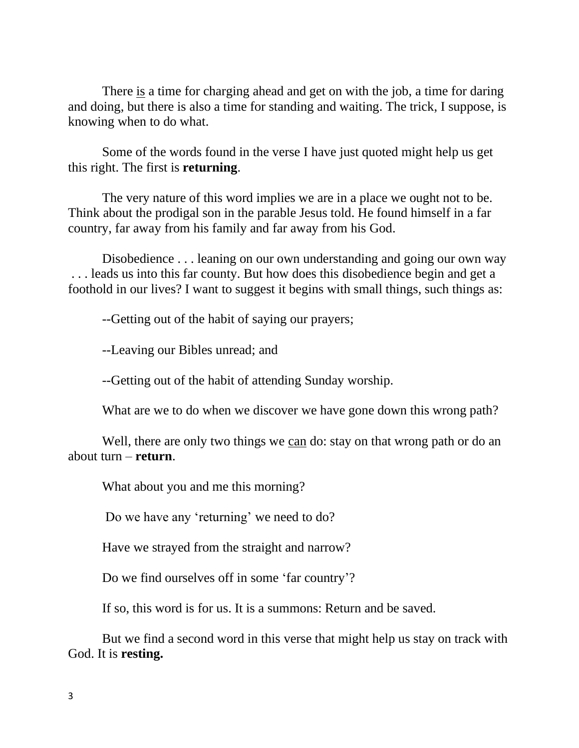There is a time for charging ahead and get on with the job, a time for daring and doing, but there is also a time for standing and waiting. The trick, I suppose, is knowing when to do what.

Some of the words found in the verse I have just quoted might help us get this right. The first is **returning**.

The very nature of this word implies we are in a place we ought not to be. Think about the prodigal son in the parable Jesus told. He found himself in a far country, far away from his family and far away from his God.

Disobedience . . . leaning on our own understanding and going our own way . . . leads us into this far county. But how does this disobedience begin and get a foothold in our lives? I want to suggest it begins with small things, such things as:

--Getting out of the habit of saying our prayers;

--Leaving our Bibles unread; and

--Getting out of the habit of attending Sunday worship.

What are we to do when we discover we have gone down this wrong path?

Well, there are only two things we can do: stay on that wrong path or do an about turn – **return**.

What about you and me this morning?

Do we have any 'returning' we need to do?

Have we strayed from the straight and narrow?

Do we find ourselves off in some 'far country'?

If so, this word is for us. It is a summons: Return and be saved.

But we find a second word in this verse that might help us stay on track with God. It is **resting.**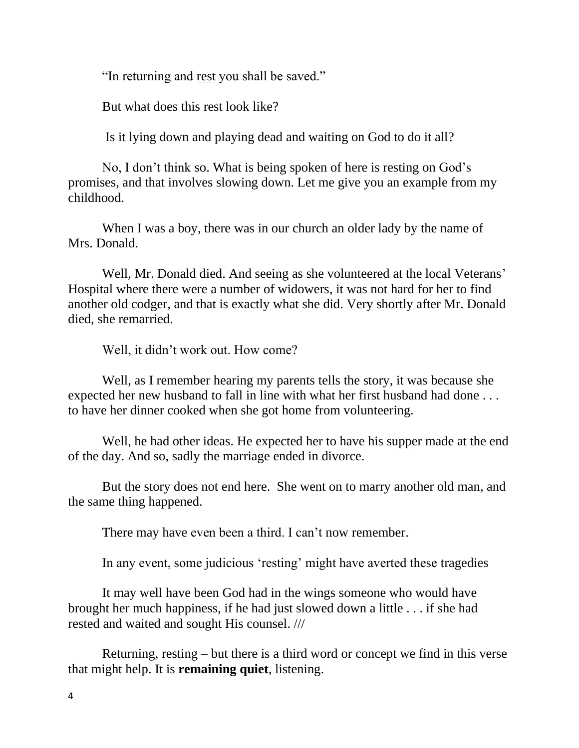"In returning and rest you shall be saved."

But what does this rest look like?

Is it lying down and playing dead and waiting on God to do it all?

No, I don't think so. What is being spoken of here is resting on God's promises, and that involves slowing down. Let me give you an example from my childhood.

When I was a boy, there was in our church an older lady by the name of Mrs. Donald.

Well, Mr. Donald died. And seeing as she volunteered at the local Veterans' Hospital where there were a number of widowers, it was not hard for her to find another old codger, and that is exactly what she did. Very shortly after Mr. Donald died, she remarried.

Well, it didn't work out. How come?

Well, as I remember hearing my parents tells the story, it was because she expected her new husband to fall in line with what her first husband had done . . . to have her dinner cooked when she got home from volunteering.

Well, he had other ideas. He expected her to have his supper made at the end of the day. And so, sadly the marriage ended in divorce.

But the story does not end here. She went on to marry another old man, and the same thing happened.

There may have even been a third. I can't now remember.

In any event, some judicious 'resting' might have averted these tragedies

It may well have been God had in the wings someone who would have brought her much happiness, if he had just slowed down a little . . . if she had rested and waited and sought His counsel. ///

Returning, resting – but there is a third word or concept we find in this verse that might help. It is **remaining quiet**, listening.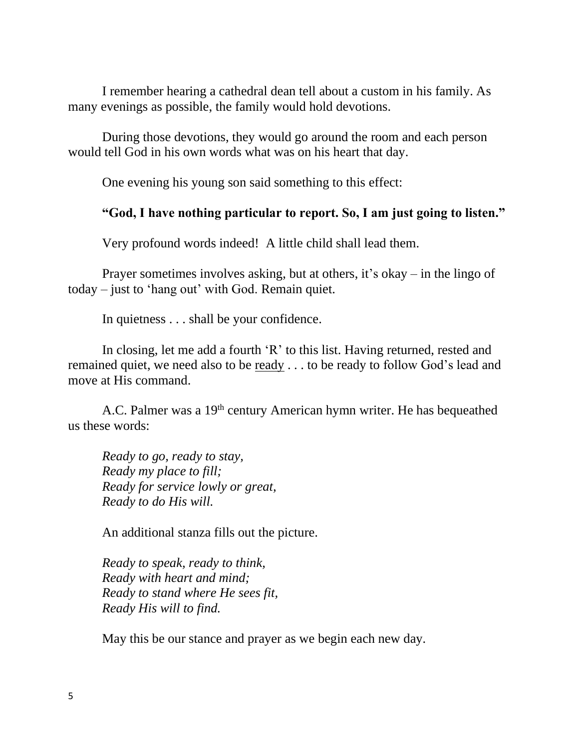I remember hearing a cathedral dean tell about a custom in his family. As many evenings as possible, the family would hold devotions.

During those devotions, they would go around the room and each person would tell God in his own words what was on his heart that day.

One evening his young son said something to this effect:

## **"God, I have nothing particular to report. So, I am just going to listen."**

Very profound words indeed! A little child shall lead them.

Prayer sometimes involves asking, but at others, it's okay – in the lingo of today – just to 'hang out' with God. Remain quiet.

In quietness . . . shall be your confidence.

In closing, let me add a fourth 'R' to this list. Having returned, rested and remained quiet, we need also to be ready . . . to be ready to follow God's lead and move at His command.

A.C. Palmer was a 19<sup>th</sup> century American hymn writer. He has bequeathed us these words:

*Ready to go, ready to stay, Ready my place to fill; Ready for service lowly or great, Ready to do His will.*

An additional stanza fills out the picture.

*Ready to speak, ready to think, Ready with heart and mind; Ready to stand where He sees fit, Ready His will to find.*

May this be our stance and prayer as we begin each new day.